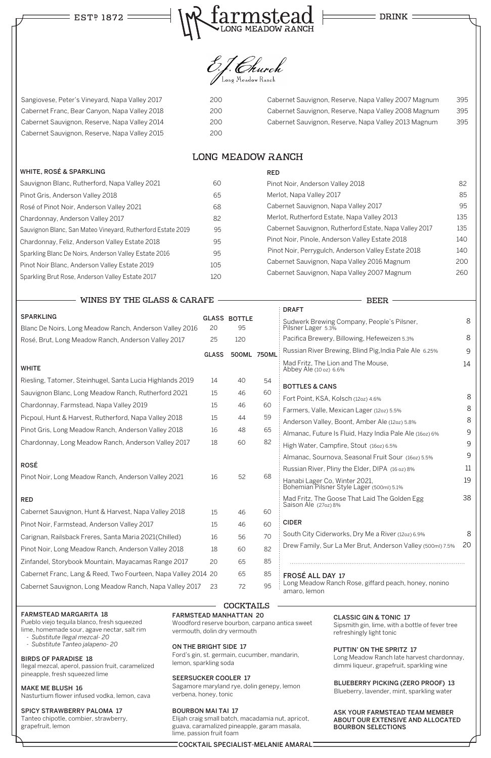# EST<sup>P</sup> 1872



**DRINK** 



### FARMSTEAD MARGARITA 18

Pueblo viejo tequila blanco, fresh squeezed lime, homemade sour, agave nectar, salt rim

- *Substitute Ilegal mezcal- 20*
- *Substitute Tanteo jalapeno- 20*

#### BIRDS OF PARADISE 18

Ilegal mezcal, aperol, passion fruit, caramelized pineapple, fresh squeezed lime

MAKE ME BLUSH 16 Nasturtium flower infused vodka, lemon, cava

# SPICY STRAWBERRY PALOMA 17

Tanteo chipotle, combier, strawberry, grapefruit, lemon

FARMSTEAD MANHATTAN 20

Woodford reserve bourbon, carpano antica sweet vermouth, dolin dry vermouth

## ON THE BRIGHT SIDE 17

Ford's gin, st. germain, cucumber, mandarin, lemon, sparkling soda

### SEERSUCKER COOLER 17

Sagamore maryland rye, dolin genepy, lemon verbena, honey, tonic

#### BOURBON MAI TAI 17

Elijah craig small batch, macadamia nut, apricot, guava, caramalized pineapple, garam masala, lime, passion fruit foam

|                                                           |              |                     |    | <b>DRAFT</b>                                                               |    |
|-----------------------------------------------------------|--------------|---------------------|----|----------------------------------------------------------------------------|----|
| <b>SPARKLING</b>                                          |              | <b>GLASS BOTTLE</b> |    | Sudwerk Brewing Company, People's Pilsner,                                 | 8  |
| Blanc De Noirs, Long Meadow Ranch, Anderson Valley 2016   | 20           | 95                  |    | Pilsner Lager 5.3%                                                         |    |
| Rosé, Brut, Long Meadow Ranch, Anderson Valley 2017       | 25           | 120                 |    | Pacifica Brewery, Billowing, Hefeweizen 5.3%                               | 8  |
|                                                           | <b>GLASS</b> | 500ML 750ML         |    | Russian River Brewing, Blind Pig, India Pale Ale 6.25%                     | 9  |
| <b>WHITE</b>                                              |              |                     |    | Mad Fritz, The Lion and The Mouse,<br>Abbey Ale (10 oz) 6.6%               | 14 |
| Riesling, Tatomer, Steinhugel, Santa Lucia Highlands 2019 | 14           | 40                  | 54 |                                                                            |    |
| Sauvignon Blanc, Long Meadow Ranch, Rutherford 2021       | 15           | 46                  | 60 | <b>BOTTLES &amp; CANS</b>                                                  | 8  |
| Chardonnay, Farmstead, Napa Valley 2019                   | 15           | 46                  | 60 | Fort Point, KSA, Kolsch (12oz) 4.6%                                        | 8  |
| Picpoul, Hunt & Harvest, Rutherford, Napa Valley 2018     | 15           | 44                  | 59 | Farmers, Valle, Mexican Lager (12oz) 5.5%                                  | 8  |
| Pinot Gris, Long Meadow Ranch, Anderson Valley 2018       | 16           | 48                  | 65 | Anderson Valley, Boont, Amber Ale (12oz) 5.8%                              | 9  |
|                                                           |              |                     | 82 | Almanac, Future Is Fluid, Hazy India Pale Ale (160z) 6%                    |    |
| Chardonnay, Long Meadow Ranch, Anderson Valley 2017       | 18           | 60                  |    | High Water, Campfire, Stout (160z) 6.5%                                    | 9  |
|                                                           |              |                     |    | Almanac, Sournova, Seasonal Fruit Sour (160z) 5.5%                         | 9  |
| <b>ROSÉ</b>                                               |              |                     |    | Russian River, Pliny the Elder, DIPA (16 oz) 8%                            | 11 |
| Pinot Noir, Long Meadow Ranch, Anderson Valley 2021       | 16           | 52                  | 68 | Hanabi Lager Co, Winter 2021,<br>Bohemian Pilsner Style Lager (500ml) 5.1% | 19 |
| <b>RED</b>                                                |              |                     |    | Mad Fritz, The Goose That Laid The Golden Egg                              | 38 |
| Cabernet Sauvignon, Hunt & Harvest, Napa Valley 2018      | 15           | 46                  | 60 | Saison Ale (27oz) 8%                                                       |    |
| Pinot Noir, Farmstead, Anderson Valley 2017               | 15           | 46                  | 60 | <b>CIDER</b>                                                               |    |
| Carignan, Railsback Freres, Santa Maria 2021(Chilled)     | 16           | 56                  | 70 | South City Ciderworks, Dry Me a River (12oz) 6.9%                          | 8  |
| Pinot Noir, Long Meadow Ranch, Anderson Valley 2018       | 18           | 60                  | 82 | Drew Family, Sur La Mer Brut, Anderson Valley (500ml) 7.5%                 | 20 |
|                                                           |              |                     |    |                                                                            |    |

#### CLASSIC GIN & TONIC 17

Sipsmith gin, lime, with a bottle of fever tree refreshingly light tonic

#### PUTTIN' ON THE SPRITZ 17

Long Meadow Ranch late harvest chardonnay, dimmi liqueur, grapefruit, sparkling wine

ASK YOUR FARMSTEAD TEAM MEMBER ABOUT OUR EXTENSIVE AND ALLOCATED BOURBON SELECTIONS

Sangiovese, Peter's Vineyard, Napa Valley 2017 200 Cabernet Franc, Bear Canyon, Napa Valley 2018 200 Cabernet Sauvignon, Reserve, Napa Valley 2014 200 Cabernet Sauvignon, Reserve, Napa Valley 2015 200

> Pinot Noir, Anderson Valley 2018 82 Merlot, Napa Valley 2017 Merlot, Napa Valley 2017 Cabernet Sauvignon, Napa Valley 2017 1995 Merlot, Rutherford Estate, Napa Valley 2013 135 Cabernet Sauvignon, Rutherford Estate, Napa Valley 2017 135 Pinot Noir, Pinole, Anderson Valley Estate 2018 140 Pinot Noir, Perrygulch, Anderson Valley Estate 2018 140 Cabernet Sauvignon, Napa Valley 2016 Magnum 200 Cabernet Sauvignon, Napa Valley 2007 Magnum 260

> > **BEER**

# **LONG MEADOW RANCH**

Zinfandel, Storybook Mountain, Mayacamas Range 2017

Cabernet Franc, Lang & Reed, Two Fourteen, Napa Valley 2014 20

Cabernet Sauvignon, Long Meadow Ranch, Napa Valley 2017 23

20

65 65

72

#### WHITE, ROSÉ & SPARKLING

| Sauvignon Blanc, Rutherford, Napa Valley 2021               |     |
|-------------------------------------------------------------|-----|
| Pinot Gris, Anderson Valley 2018                            | 65  |
| Rosé of Pinot Noir, Anderson Valley 2021                    | 68  |
| Chardonnay, Anderson Valley 2017                            | 82  |
| Sauvignon Blanc, San Mateo Vineyard, Rutherford Estate 2019 |     |
| Chardonnay, Feliz, Anderson Valley Estate 2018              |     |
| Sparkling Blanc De Noirs, Anderson Valley Estate 2016       | 95  |
| Pinot Noir Blanc, Anderson Valley Estate 2019               | 105 |
| Sparkling Brut Rose, Anderson Valley Estate 2017            | 120 |

WINES BY THE GLASS & CARAFE

RED

85 85 FROSÉ ALL DAY 17 Long Meadow Ranch Rose, giffard peach, honey, nonino 95 amaro, lemon

# **COCKTAILS**

| Cabernet Sauvignon, Reserve, Napa Valley 2007 Magnum | 395 |
|------------------------------------------------------|-----|
| Cabernet Sauvignon, Reserve, Napa Valley 2008 Magnum | 395 |
| Cabernet Sauvignon, Reserve, Napa Valley 2013 Magnum | 395 |

# COCKTAIL SPECIALIST-MELANIE AMARAL

# BLUEBERRY PICKING (ZERO PROOF) 13

Blueberry, lavender, mint, sparkling water